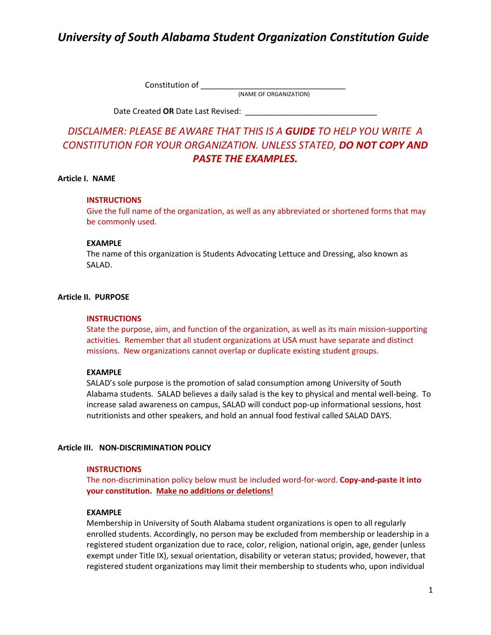Constitution of \_\_\_\_\_\_\_\_\_\_\_\_\_\_\_\_\_\_\_\_\_\_\_\_\_\_\_\_\_\_\_\_\_

(NAME OF ORGANIZATION)

Date Created OR Date Last Revised:

## *DISCLAIMER: PLEASE BE AWARE THAT THIS IS A GUIDE TO HELP YOU WRITE A CONSTITUTION FOR YOUR ORGANIZATION. UNLESS STATED, DO NOT COPY AND PASTE THE EXAMPLES.*

### **Article I. NAME**

### **INSTRUCTIONS**

Give the full name of the organization, as well as any abbreviated or shortened forms that may be commonly used.

### **EXAMPLE**

The name of this organization is Students Advocating Lettuce and Dressing, also known as SALAD.

## **Article II. PURPOSE**

### **INSTRUCTIONS**

State the purpose, aim, and function of the organization, as well as its main mission-supporting activities. Remember that all student organizations at USA must have separate and distinct missions. New organizations cannot overlap or duplicate existing student groups.

### **EXAMPLE**

SALAD's sole purpose is the promotion of salad consumption among University of South Alabama students. SALAD believes a daily salad is the key to physical and mental well-being. To increase salad awareness on campus, SALAD will conduct pop-up informational sessions, host nutritionists and other speakers, and hold an annual food festival called SALAD DAYS.

### **Article III. NON-DISCRIMINATION POLICY**

### **INSTRUCTIONS**

The non-discrimination policy below must be included word-for-word. **Copy-and-paste it into your constitution. Make no additions or deletions!** 

### **EXAMPLE**

Membership in University of South Alabama student organizations is open to all regularly enrolled students. Accordingly, no person may be excluded from membership or leadership in a registered student organization due to race, color, religion, national origin, age, gender (unless exempt under Title IX), sexual orientation, disability or veteran status; provided, however, that registered student organizations may limit their membership to students who, upon individual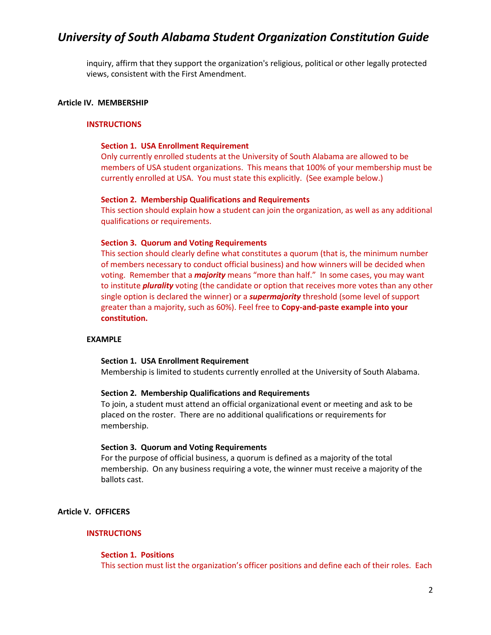inquiry, affirm that they support the organization's religious, political or other legally protected views, consistent with the First Amendment.

## **Article IV. MEMBERSHIP**

### **INSTRUCTIONS**

### **Section 1. USA Enrollment Requirement**

Only currently enrolled students at the University of South Alabama are allowed to be members of USA student organizations. This means that 100% of your membership must be currently enrolled at USA. You must state this explicitly. (See example below.)

### **Section 2. Membership Qualifications and Requirements**

This section should explain how a student can join the organization, as well as any additional qualifications or requirements.

### **Section 3. Quorum and Voting Requirements**

This section should clearly define what constitutes a quorum (that is, the minimum number of members necessary to conduct official business) and how winners will be decided when voting. Remember that a *majority* means "more than half." In some cases, you may want to institute *plurality* voting (the candidate or option that receives more votes than any other single option is declared the winner) or a *supermajority* threshold (some level of support greater than a majority, such as 60%). Feel free to **Copy-and-paste example into your constitution.** 

### **EXAMPLE**

### **Section 1. USA Enrollment Requirement**

Membership is limited to students currently enrolled at the University of South Alabama.

### **Section 2. Membership Qualifications and Requirements**

To join, a student must attend an official organizational event or meeting and ask to be placed on the roster. There are no additional qualifications or requirements for membership.

### **Section 3. Quorum and Voting Requirements**

For the purpose of official business, a quorum is defined as a majority of the total membership. On any business requiring a vote, the winner must receive a majority of the ballots cast.

## **Article V. OFFICERS**

## **INSTRUCTIONS**

### **Section 1. Positions**

This section must list the organization's officer positions and define each of their roles. Each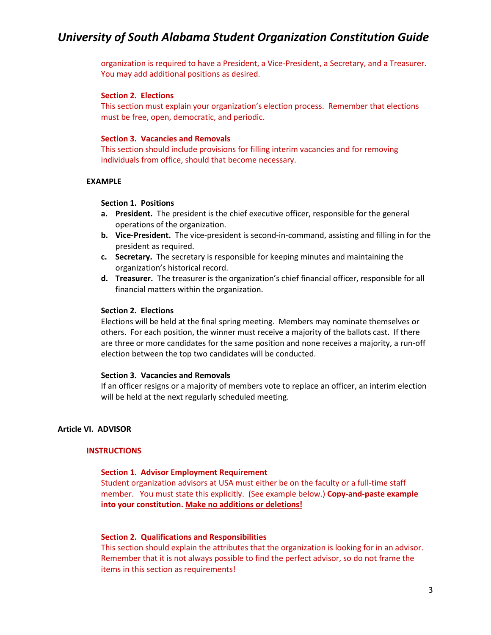organization is required to have a President, a Vice-President, a Secretary, and a Treasurer. You may add additional positions as desired.

### **Section 2. Elections**

This section must explain your organization's election process. Remember that elections must be free, open, democratic, and periodic.

### **Section 3. Vacancies and Removals**

This section should include provisions for filling interim vacancies and for removing individuals from office, should that become necessary.

### **EXAMPLE**

### **Section 1. Positions**

- **a. President.** The president is the chief executive officer, responsible for the general operations of the organization.
- **b. Vice-President.** The vice-president is second-in-command, assisting and filling in for the president as required.
- **c. Secretary.** The secretary is responsible for keeping minutes and maintaining the organization's historical record.
- **d. Treasurer.** The treasurer is the organization's chief financial officer, responsible for all financial matters within the organization.

### **Section 2. Elections**

Elections will be held at the final spring meeting. Members may nominate themselves or others. For each position, the winner must receive a majority of the ballots cast. If there are three or more candidates for the same position and none receives a majority, a run-off election between the top two candidates will be conducted.

### **Section 3. Vacancies and Removals**

If an officer resigns or a majority of members vote to replace an officer, an interim election will be held at the next regularly scheduled meeting.

## **Article VI. ADVISOR**

## **INSTRUCTIONS**

### **Section 1. Advisor Employment Requirement**

Student organization advisors at USA must either be on the faculty or a full-time staff member. You must state this explicitly. (See example below.) **Copy-and-paste example into your constitution. Make no additions or deletions!** 

### **Section 2. Qualifications and Responsibilities**

This section should explain the attributes that the organization is looking for in an advisor. Remember that it is not always possible to find the perfect advisor, so do not frame the items in this section as requirements!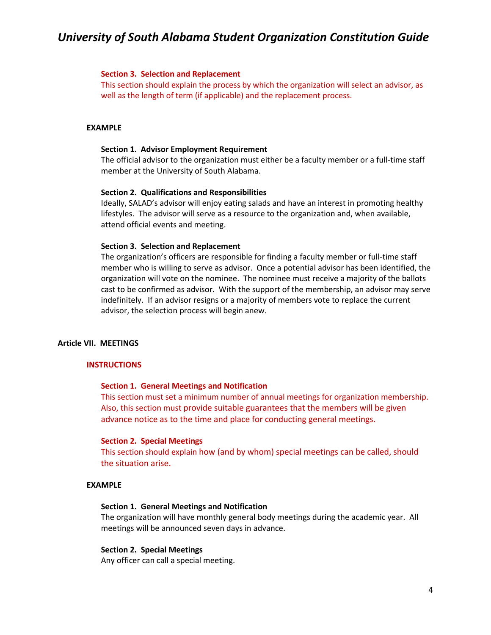### **Section 3. Selection and Replacement**

This section should explain the process by which the organization will select an advisor, as well as the length of term (if applicable) and the replacement process.

### **EXAMPLE**

### **Section 1. Advisor Employment Requirement**

The official advisor to the organization must either be a faculty member or a full-time staff member at the University of South Alabama.

#### **Section 2. Qualifications and Responsibilities**

Ideally, SALAD's advisor will enjoy eating salads and have an interest in promoting healthy lifestyles. The advisor will serve as a resource to the organization and, when available, attend official events and meeting.

### **Section 3. Selection and Replacement**

The organization's officers are responsible for finding a faculty member or full-time staff member who is willing to serve as advisor. Once a potential advisor has been identified, the organization will vote on the nominee. The nominee must receive a majority of the ballots cast to be confirmed as advisor. With the support of the membership, an advisor may serve indefinitely. If an advisor resigns or a majority of members vote to replace the current advisor, the selection process will begin anew.

### **Article VII. MEETINGS**

#### **INSTRUCTIONS**

#### **Section 1. General Meetings and Notification**

This section must set a minimum number of annual meetings for organization membership. Also, this section must provide suitable guarantees that the members will be given advance notice as to the time and place for conducting general meetings.

### **Section 2. Special Meetings**

This section should explain how (and by whom) special meetings can be called, should the situation arise.

### **EXAMPLE**

## **Section 1. General Meetings and Notification**

The organization will have monthly general body meetings during the academic year. All meetings will be announced seven days in advance.

#### **Section 2. Special Meetings**

Any officer can call a special meeting.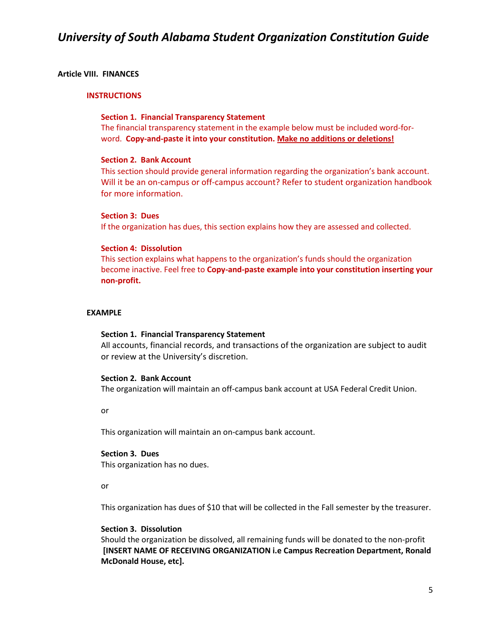## **Article VIII. FINANCES**

### **INSTRUCTIONS**

## **Section 1. Financial Transparency Statement**

The financial transparency statement in the example below must be included word-forword. **Copy-and-paste it into your constitution. Make no additions or deletions!** 

## **Section 2. Bank Account**

This section should provide general information regarding the organization's bank account. Will it be an on-campus or off-campus account? Refer to student organization handbook for more information.

## **Section 3: Dues**

If the organization has dues, this section explains how they are assessed and collected.

## **Section 4: Dissolution**

This section explains what happens to the organization's funds should the organization become inactive. Feel free to **Copy-and-paste example into your constitution inserting your non-profit.**

## **EXAMPLE**

### **Section 1. Financial Transparency Statement**

All accounts, financial records, and transactions of the organization are subject to audit or review at the University's discretion.

### **Section 2. Bank Account**

The organization will maintain an off-campus bank account at USA Federal Credit Union.

or

This organization will maintain an on-campus bank account.

## **Section 3. Dues**

This organization has no dues.

### or

This organization has dues of \$10 that will be collected in the Fall semester by the treasurer.

## **Section 3. Dissolution**

Should the organization be dissolved, all remaining funds will be donated to the non-profit **[INSERT NAME OF RECEIVING ORGANIZATION i.e Campus Recreation Department, Ronald McDonald House, etc].**